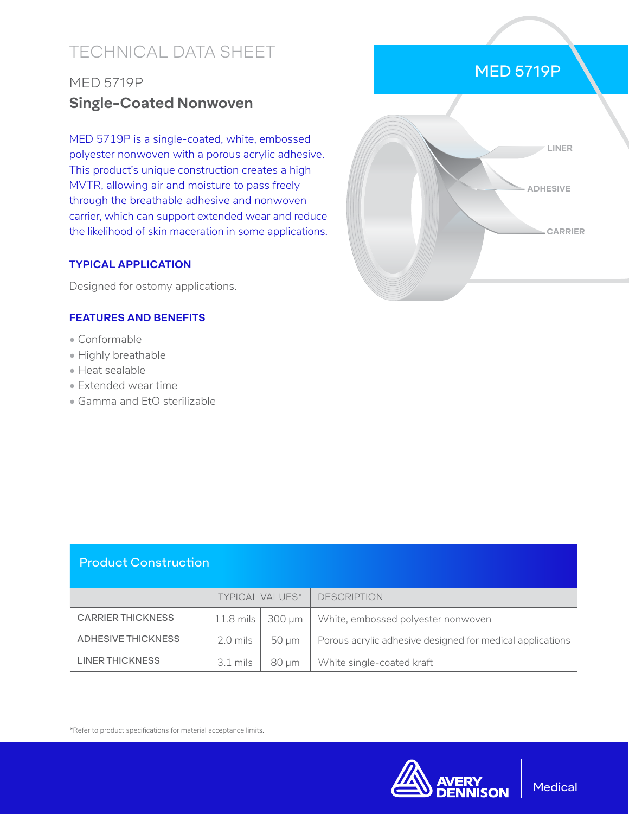# TECHNICAL DATA SHEET

# MED 5719P **Single-Coated Nonwoven**

MED 5719P is a single-coated, white, embossed polyester nonwoven with a porous acrylic adhesive. This product's unique construction creates a high MVTR, allowing air and moisture to pass freely through the breathable adhesive and nonwoven carrier, which can support extended wear and reduce the likelihood of skin maceration in some applications.

#### **TYPICAL APPLICATION**

Designed for ostomy applications.

### **FEATURES AND BENEFITS**

- Conformable
- Highly breathable
- Heat sealable
- Extended wear time
- Gamma and EtO sterilizable

# MED 5719P



### Product Construction

|                          | <b>TYPICAL VALUES*</b> |       | <b>DESCRIPTION</b>                                        |
|--------------------------|------------------------|-------|-----------------------------------------------------------|
| <b>CARRIER THICKNESS</b> |                        |       | 11.8 mils   300 µm   White, embossed polyester nonwoven   |
| ADHESIVE THICKNESS       | $2.0$ mils $\vert$     | 50 um | Porous acrylic adhesive designed for medical applications |
| LINER THICKNESS          | $3.1$ mils $\parallel$ | 80 µm | White single-coated kraft                                 |

\*Refer to product specifications for material acceptance limits.